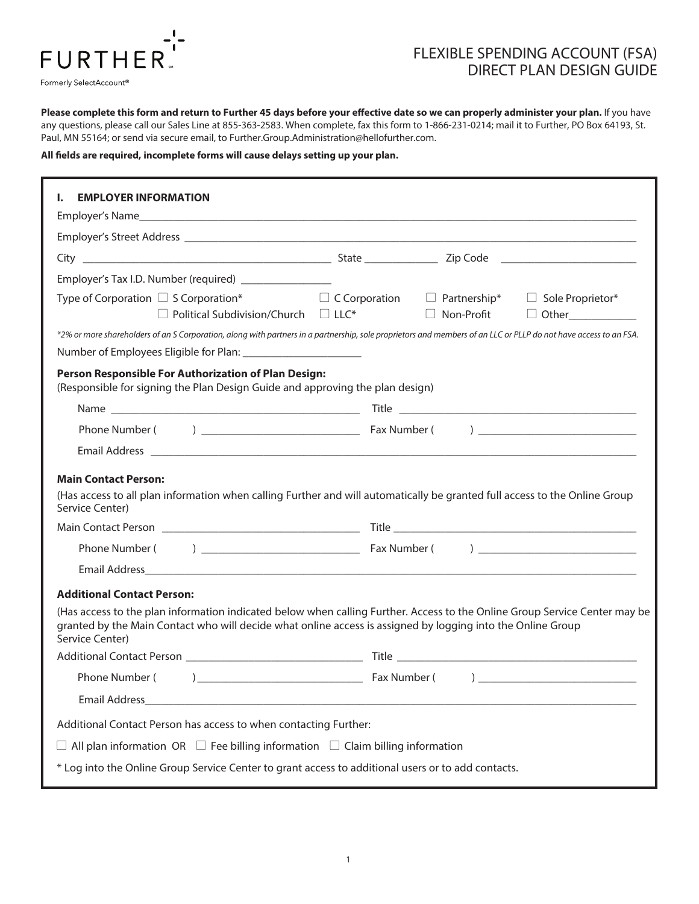

# FLEXIBLE SPENDING ACCOUNT (FSA) DIRECT PLAN DESIGN GUIDE

Please complete this form and return to Further 45 days before your effective date so we can properly administer your plan. If you have any questions, please call our Sales Line at 855-363-2583. When complete, fax this form to 1-866-231-0214; mail it to Further, PO Box 64193, St. Paul, MN 55164; or send via secure email, to Further.Group.Administration@hellofurther.com.

#### **All fields are required, incomplete forms will cause delays setting up your plan.**

|                                                                                     | Employer's Tax I.D. Number (required)                                                                                                                                                                                                     |  |                                |
|-------------------------------------------------------------------------------------|-------------------------------------------------------------------------------------------------------------------------------------------------------------------------------------------------------------------------------------------|--|--------------------------------|
|                                                                                     | Type of Corporation $\Box$ S Corporation* $\Box$ C Corporation $\Box$ Partnership* $\Box$ Sole Proprietor*<br>$\Box$ Political Subdivision/Church $\Box$ LLC*                                                                             |  | $\Box$ Non-Profit $\Box$ Other |
|                                                                                     | *2% or more shareholders of an S Corporation, along with partners in a partnership, sole proprietors and members of an LLC or PLLP do not have access to an FSA.                                                                          |  |                                |
|                                                                                     |                                                                                                                                                                                                                                           |  |                                |
|                                                                                     | Person Responsible For Authorization of Plan Design:                                                                                                                                                                                      |  |                                |
|                                                                                     | (Responsible for signing the Plan Design Guide and approving the plan design)                                                                                                                                                             |  |                                |
|                                                                                     |                                                                                                                                                                                                                                           |  |                                |
|                                                                                     |                                                                                                                                                                                                                                           |  |                                |
|                                                                                     |                                                                                                                                                                                                                                           |  |                                |
|                                                                                     | (Has access to all plan information when calling Further and will automatically be granted full access to the Online Group                                                                                                                |  |                                |
|                                                                                     |                                                                                                                                                                                                                                           |  |                                |
|                                                                                     |                                                                                                                                                                                                                                           |  |                                |
|                                                                                     |                                                                                                                                                                                                                                           |  |                                |
| <b>Main Contact Person:</b><br>Service Center)<br><b>Additional Contact Person:</b> |                                                                                                                                                                                                                                           |  |                                |
| Service Center)                                                                     | (Has access to the plan information indicated below when calling Further. Access to the Online Group Service Center may be<br>granted by the Main Contact who will decide what online access is assigned by logging into the Online Group |  |                                |
|                                                                                     |                                                                                                                                                                                                                                           |  |                                |
|                                                                                     |                                                                                                                                                                                                                                           |  |                                |
|                                                                                     | Email Address <b>Email Address Email Address Email Address Email Address Email Address</b>                                                                                                                                                |  |                                |
|                                                                                     | Additional Contact Person has access to when contacting Further:                                                                                                                                                                          |  |                                |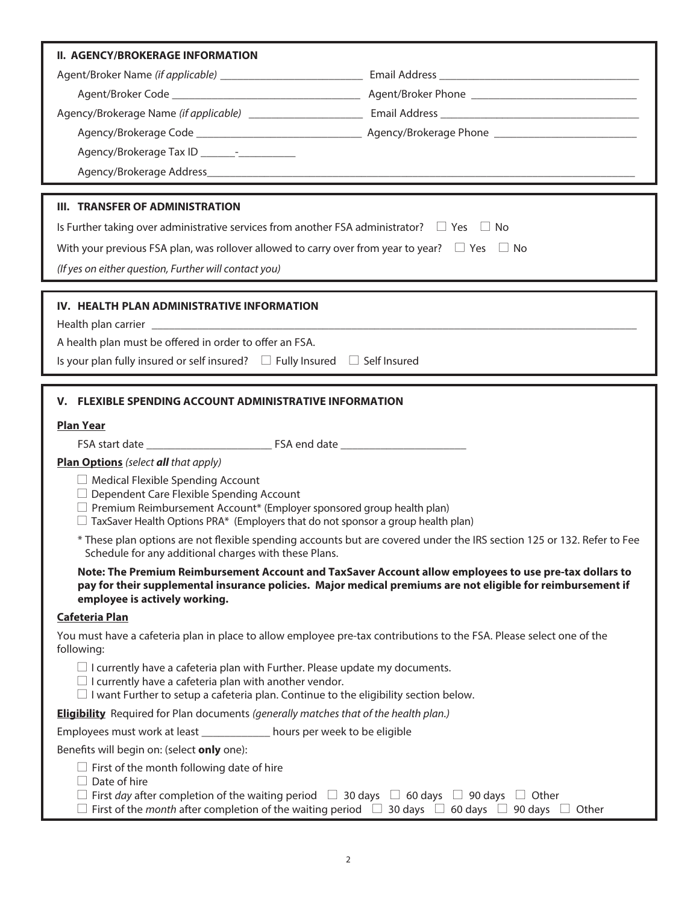| <b>II. AGENCY/BROKERAGE INFORMATION</b>                                                                                                                                 |  |
|-------------------------------------------------------------------------------------------------------------------------------------------------------------------------|--|
|                                                                                                                                                                         |  |
|                                                                                                                                                                         |  |
|                                                                                                                                                                         |  |
|                                                                                                                                                                         |  |
|                                                                                                                                                                         |  |
|                                                                                                                                                                         |  |
|                                                                                                                                                                         |  |
|                                                                                                                                                                         |  |
| III. TRANSFER OF ADMINISTRATION                                                                                                                                         |  |
| Is Further taking over administrative services from another FSA administrator? $\Box$ Yes $\Box$ No                                                                     |  |
| With your previous FSA plan, was rollover allowed to carry over from year to year? $\Box$ Yes $\Box$ No                                                                 |  |
| (If yes on either question, Further will contact you)                                                                                                                   |  |
|                                                                                                                                                                         |  |
| IV. HEALTH PLAN ADMINISTRATIVE INFORMATION                                                                                                                              |  |
|                                                                                                                                                                         |  |
| A health plan must be offered in order to offer an FSA.                                                                                                                 |  |
| Is your plan fully insured or self insured? $\square$ Fully Insured $\square$ Self Insured                                                                              |  |
|                                                                                                                                                                         |  |
| V. FLEXIBLE SPENDING ACCOUNT ADMINISTRATIVE INFORMATION                                                                                                                 |  |
| <b>Plan Year</b>                                                                                                                                                        |  |
|                                                                                                                                                                         |  |
| Plan Options (select all that apply)                                                                                                                                    |  |
| $\Box$ Medical Flexible Spending Account                                                                                                                                |  |
| Dependent Care Flexible Spending Account                                                                                                                                |  |
| $\Box$ Premium Reimbursement Account* (Employer sponsored group health plan)<br>$\Box$ TaxSaver Health Options PRA* (Employers that do not sponsor a group health plan) |  |
| * These plan options are not flexible spending accounts but are covered under the IRS section 125 or 132. Refer to Fee                                                  |  |
| Schedule for any additional charges with these Plans.                                                                                                                   |  |
| Note: The Premium Reimbursement Account and TaxSaver Account allow employees to use pre-tax dollars to                                                                  |  |
|                                                                                                                                                                         |  |
|                                                                                                                                                                         |  |
|                                                                                                                                                                         |  |
|                                                                                                                                                                         |  |
| You must have a cafeteria plan in place to allow employee pre-tax contributions to the FSA. Please select one of the<br>following:                                      |  |
| $\Box$ I currently have a cafeteria plan with Further. Please update my documents.                                                                                      |  |
| $\Box$ I currently have a cafeteria plan with another vendor.                                                                                                           |  |
| $\Box$ I want Further to setup a cafeteria plan. Continue to the eligibility section below.                                                                             |  |
| Eligibility Required for Plan documents (generally matches that of the health plan.)                                                                                    |  |
| Employees must work at least _____________ hours per week to be eligible                                                                                                |  |
| Benefits will begin on: (select only one):                                                                                                                              |  |
| $\Box$ First of the month following date of hire                                                                                                                        |  |
| Date of hire<br>$\Box$ First day after completion of the waiting period $\Box$ 30 days $\Box$ 60 days $\Box$ 90 days $\Box$ Other                                       |  |
| pay for their supplemental insurance policies. Major medical premiums are not eligible for reimbursement if<br>employee is actively working.<br><b>Cafeteria Plan</b>   |  |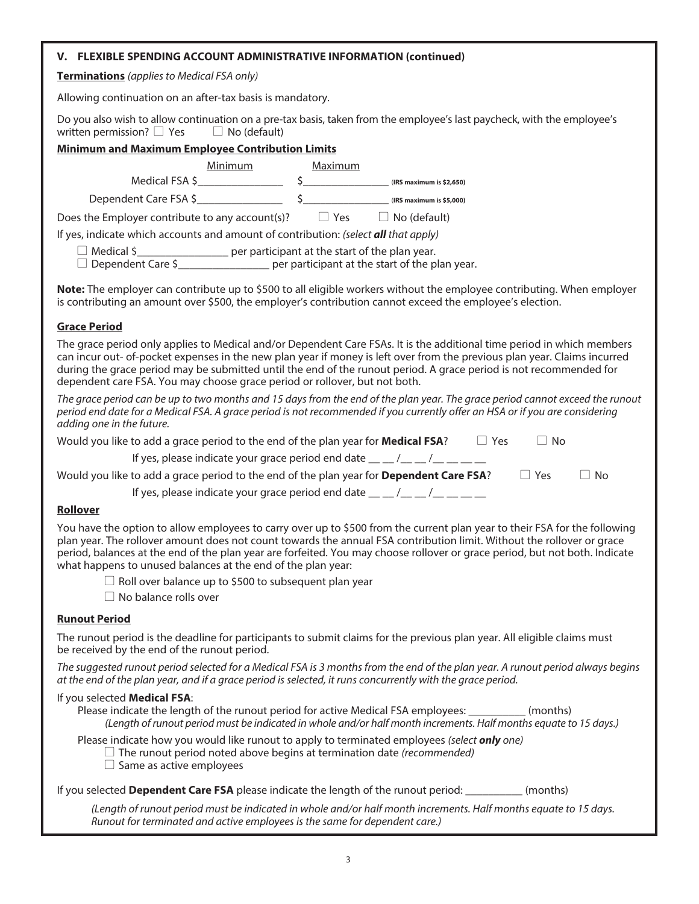# **V. FLEXIBLE SPENDING ACCOUNT ADMINISTRATIVE INFORMATION (continued)**

**Terminations** *(applies to Medical FSA only)* 

Allowing continuation on an after-tax basis is mandatory.

Do you also wish to allow continuation on a pre-tax basis, taken from the employee's last paycheck, with the employee's written permission?  $\Box$  Yes  $\Box$  No (default) written permission?  $\Box$  Yes

# **Minimum and Maximum Employee Contribution Limits**

 Minimum Maximum Medical FSA \$\_\_\_\_\_\_\_\_\_\_\_\_\_\_\_ \$\_\_\_\_\_\_\_\_\_\_\_\_\_\_\_ (**IRS maximum is \$2,650)**

Dependent Care FSA \$\_\_\_\_\_\_\_\_\_\_\_\_\_\_\_ \$\_\_\_\_\_\_\_\_\_\_\_\_\_\_\_ (**IRS maximum is \$5,000)**

Does the Employer contribute to any account(s)?  $\Box$  Yes  $\Box$  No (default)

If yes, indicate which accounts and amount of contribution: *(select all that apply)*

 $\Box$  Medical \$\_\_\_\_\_\_\_\_\_\_\_\_\_\_\_\_\_\_\_\_\_ per participant at the start of the plan year.

 $\Box$  Dependent Care \$\_\_\_\_\_\_\_\_\_\_\_\_\_\_\_\_\_\_\_\_\_\_ per participant at the start of the plan year.

**Note:** The employer can contribute up to \$500 to all eligible workers without the employee contributing. When employer is contributing an amount over \$500, the employer's contribution cannot exceed the employee's election.

# **Grace Period**

The grace period only applies to Medical and/or Dependent Care FSAs. It is the additional time period in which members can incur out- of-pocket expenses in the new plan year if money is left over from the previous plan year. Claims incurred during the grace period may be submitted until the end of the runout period. A grace period is not recommended for dependent care FSA. You may choose grace period or rollover, but not both.

*The grace period can be up to two months and 15 days from the end of the plan year. The grace period cannot exceed the runout period end date for a Medical FSA. A grace period is not recommended if you currently offer an HSA or if you are considering adding one in the future.*

| Would you like to add a grace period to the end of the plan year for <b>Medical FSA</b> ?                                                                                                                                                                                                        | $ $ Yes | ∣ No    |      |
|--------------------------------------------------------------------------------------------------------------------------------------------------------------------------------------------------------------------------------------------------------------------------------------------------|---------|---------|------|
| If yes, please indicate your grace period end date $\frac{1}{2}$ $\frac{1}{2}$ $\frac{1}{2}$ $\frac{1}{2}$ $\frac{1}{2}$ $\frac{1}{2}$ $\frac{1}{2}$ $\frac{1}{2}$ $\frac{1}{2}$ $\frac{1}{2}$ $\frac{1}{2}$ $\frac{1}{2}$ $\frac{1}{2}$ $\frac{1}{2}$ $\frac{1}{2}$ $\frac{1}{2}$ $\frac{1}{2}$ |         |         |      |
| Would you like to add a grace period to the end of the plan year for <b>Dependent Care FSA</b> ?                                                                                                                                                                                                 |         | $ $ Yes | l No |

If yes, please indicate your grace period end date  $\underline{\hspace{1cm}}$   $\underline{\hspace{1cm}}$  /\_  $\underline{\hspace{1cm}}$  /\_  $\underline{\hspace{1cm}}$   $\underline{\hspace{1cm}}$ 

# **Rollover**

You have the option to allow employees to carry over up to \$500 from the current plan year to their FSA for the following plan year. The rollover amount does not count towards the annual FSA contribution limit. Without the rollover or grace period, balances at the end of the plan year are forfeited. You may choose rollover or grace period, but not both. Indicate what happens to unused balances at the end of the plan year:

- $\Box$  Roll over balance up to \$500 to subsequent plan year
- □ No balance rolls over

# **Runout Period**

The runout period is the deadline for participants to submit claims for the previous plan year. All eligible claims must be received by the end of the runout period.

*The suggested runout period selected for a Medical FSA is 3 months from the end of the plan year. A runout period always begins at the end of the plan year, and if a grace period is selected, it runs concurrently with the grace period.*

#### If you selected **Medical FSA**:

Please indicate the length of the runout period for active Medical FSA employees: \_\_\_\_\_\_\_\_\_\_ (months) *(Length of runout period must be indicated in whole and/or half month increments. Half months equate to 15 days.)*

Please indicate how you would like runout to apply to terminated employees *(select only one)*

 $\Box$  The runout period noted above begins at termination date *(recommended)* 

□ Same as active employees

If you selected **Dependent Care FSA** please indicate the length of the runout period: \_\_\_\_\_\_\_\_\_\_ (months)

 *(Length of runout period must be indicated in whole and/or half month increments. Half months equate to 15 days. Runout for terminated and active employees is the same for dependent care.)*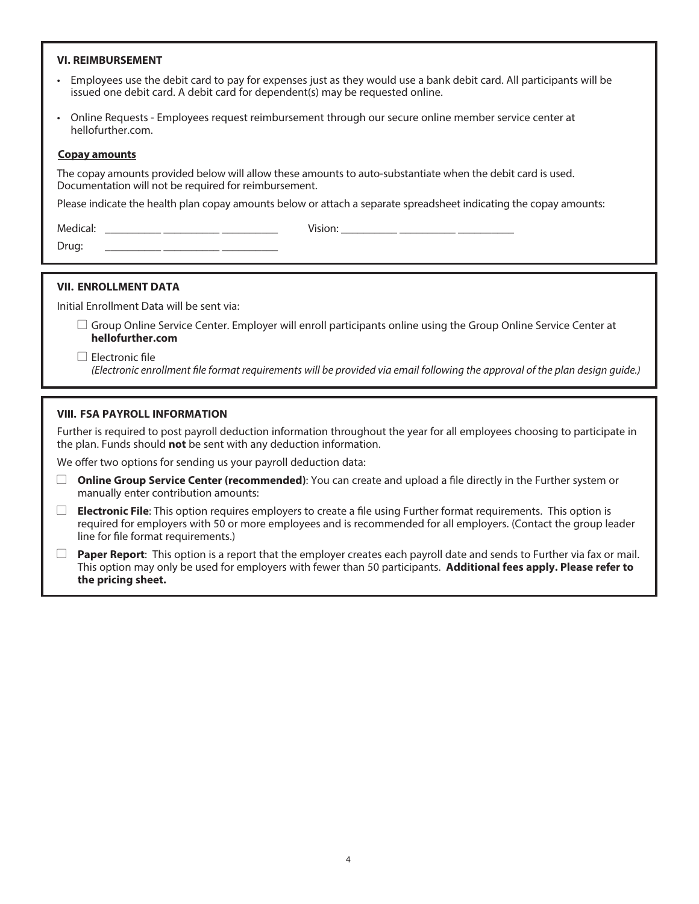#### **VI. REIMBURSEMENT**

- Employees use the debit card to pay for expenses just as they would use a bank debit card. All participants will be issued one debit card. A debit card for dependent(s) may be requested online.
- Online Requests Employees request reimbursement through our secure online member service center at hellofurther.com.

# **Copay amounts**

The copay amounts provided below will allow these amounts to auto-substantiate when the debit card is used. Documentation will not be required for reimbursement.

Please indicate the health plan copay amounts below or attach a separate spreadsheet indicating the copay amounts:

| Mer  | $\overline{\phantom{a}}$ |
|------|--------------------------|
| ____ |                          |

Drug:

#### **VII. ENROLLMENT DATA**

Initial Enrollment Data will be sent via:

- $\Box$  Group Online Service Center. Employer will enroll participants online using the Group Online Service Center at **hellofurther.com**
- $\Box$  Electronic file *(Electronic enrollment file format requirements will be provided via email following the approval of the plan design guide.)*

## **VIII. FSA PAYROLL INFORMATION**

Further is required to post payroll deduction information throughout the year for all employees choosing to participate in the plan. Funds should **not** be sent with any deduction information.

We offer two options for sending us your payroll deduction data:

- l **Online Group Service Center (recommended)**: You can create and upload a file directly in the Further system or manually enter contribution amounts:
- l **Electronic File**: This option requires employers to create a file using Further format requirements. This option is required for employers with 50 or more employees and is recommended for all employers. (Contact the group leader line for file format requirements.)
- **Paper Report:** This option is a report that the employer creates each payroll date and sends to Further via fax or mail. This option may only be used for employers with fewer than 50 participants. **Additional fees apply. Please refer to the pricing sheet.**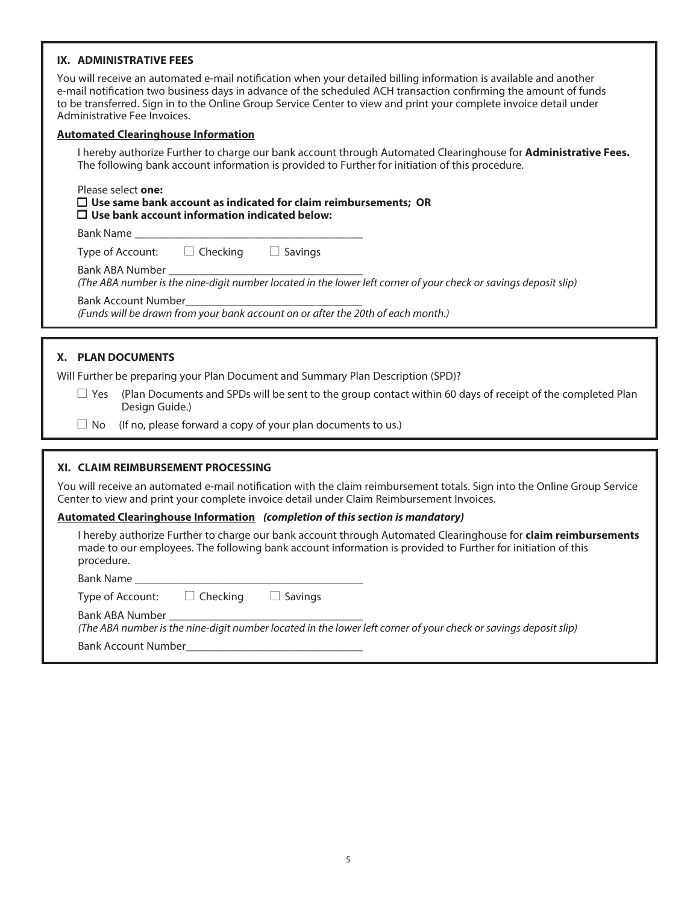| IX. ADMINISTRATIVE FEES                                                                                                                                                                                                                                                                                                                                                                     |
|---------------------------------------------------------------------------------------------------------------------------------------------------------------------------------------------------------------------------------------------------------------------------------------------------------------------------------------------------------------------------------------------|
| You will receive an automated e-mail notification when your detailed billing information is available and another<br>e-mail notification two business days in advance of the scheduled ACH transaction confirming the amount of funds<br>to be transferred. Sign in to the Online Group Service Center to view and print your complete invoice detail under<br>Administrative Fee Invoices. |
| <b>Automated Clearinghouse Information</b>                                                                                                                                                                                                                                                                                                                                                  |
| I hereby authorize Further to charge our bank account through Automated Clearinghouse for <b>Administrative Fees.</b><br>The following bank account information is provided to Further for initiation of this procedure.                                                                                                                                                                    |
| Please select one:<br>$\Box$ Use same bank account as indicated for claim reimbursements; OR<br>$\Box$ Use bank account information indicated below:                                                                                                                                                                                                                                        |
|                                                                                                                                                                                                                                                                                                                                                                                             |
| Type of Account: $\Box$ Checking<br>$\Box$ Savings                                                                                                                                                                                                                                                                                                                                          |
| Bank ABA Number                                                                                                                                                                                                                                                                                                                                                                             |
| (The ABA number is the nine-digit number located in the lower left corner of your check or savings deposit slip)                                                                                                                                                                                                                                                                            |
| <b>Bank Account Number</b><br>(Funds will be drawn from your bank account on or after the 20th of each month.)                                                                                                                                                                                                                                                                              |
|                                                                                                                                                                                                                                                                                                                                                                                             |
| X. PLAN DOCUMENTS<br>Will Further be preparing your Plan Document and Summary Plan Description (SPD)?                                                                                                                                                                                                                                                                                       |
|                                                                                                                                                                                                                                                                                                                                                                                             |

- $\Box$  Yes (Plan Documents and SPDs will be sent to the group contact within 60 days of receipt of the completed Plan Design Guide.)
- $\Box$  No (If no, please forward a copy of your plan documents to us.)

#### **XI. CLAIM REIMBURSEMENT PROCESSING**

You will receive an automated e-mail notification with the claim reimbursement totals. Sign into the Online Group Service Center to view and print your complete invoice detail under Claim Reimbursement Invoices.

#### **Automated Clearinghouse Information** *(completion of this section is mandatory)*

 I hereby authorize Further to charge our bank account through Automated Clearinghouse for **claim reimbursements** made to our employees. The following bank account information is provided to Further for initiation of this procedure.

| <b>Bank Name</b>                                |                                                                                                                  |
|-------------------------------------------------|------------------------------------------------------------------------------------------------------------------|
| Type of Account: $\Box$ Checking $\Box$ Savings |                                                                                                                  |
| Bank ABA Number                                 |                                                                                                                  |
|                                                 | (The ABA number is the nine-digit number located in the lower left corner of your check or savings deposit slip) |

| <b>Bank Account Number</b> |  |
|----------------------------|--|
|----------------------------|--|